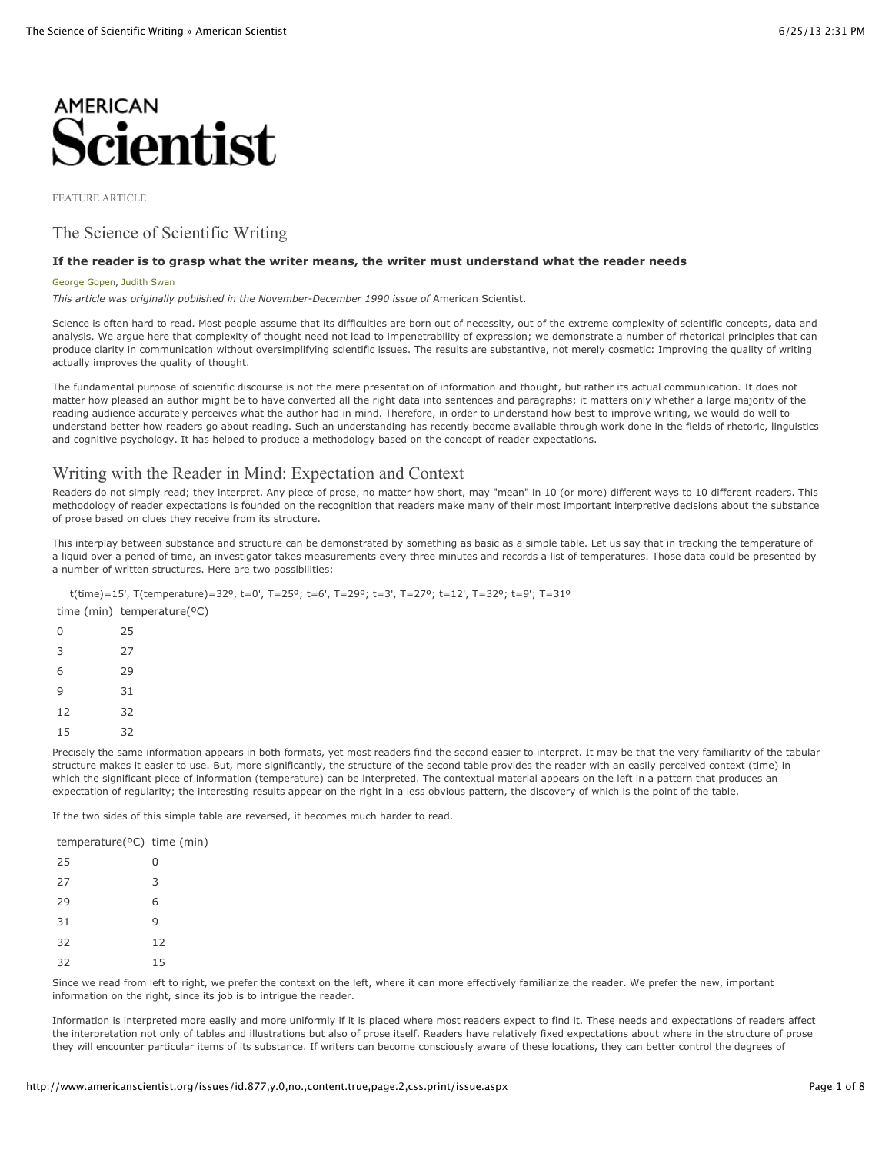

FEATURE ARTICLE

## The Science of Scientific Writing

### **If the reader is to grasp what the writer means, the writer must understand what the reader needs**

#### [George Gopen,](http://www.americanscientist.org/authors/detail/george-gopen) [Judith Swan](http://www.americanscientist.org/authors/detail/judith-swan)

*This article was originally published in the November-December 1990 issue of* American Scientist.

Science is often hard to read. Most people assume that its difficulties are born out of necessity, out of the extreme complexity of scientific concepts, data and analysis. We argue here that complexity of thought need not lead to impenetrability of expression; we demonstrate a number of rhetorical principles that can produce clarity in communication without oversimplifying scientific issues. The results are substantive, not merely cosmetic: Improving the quality of writing actually improves the quality of thought.

The fundamental purpose of scientific discourse is not the mere presentation of information and thought, but rather its actual communication. It does not matter how pleased an author might be to have converted all the right data into sentences and paragraphs; it matters only whether a large majority of the reading audience accurately perceives what the author had in mind. Therefore, in order to understand how best to improve writing, we would do well to understand better how readers go about reading. Such an understanding has recently become available through work done in the fields of rhetoric, linguistics and cognitive psychology. It has helped to produce a methodology based on the concept of reader expectations.

## Writing with the Reader in Mind: Expectation and Context

Readers do not simply read; they interpret. Any piece of prose, no matter how short, may "mean" in 10 (or more) different ways to 10 different readers. This methodology of reader expectations is founded on the recognition that readers make many of their most important interpretive decisions about the substance of prose based on clues they receive from its structure.

This interplay between substance and structure can be demonstrated by something as basic as a simple table. Let us say that in tracking the temperature of a liquid over a period of time, an investigator takes measurements every three minutes and records a list of temperatures. Those data could be presented by a number of written structures. Here are two possibilities:

t(time)=15', T(temperature)=32º, t=0', T=25º; t=6', T=29º; t=3', T=27º; t=12', T=32º; t=9'; T=31º

time (min) temperature(ºC)

| 0  | 25 |
|----|----|
| 3  | 27 |
| 6  | 29 |
| 9  | 31 |
| 12 | 32 |
| 15 | 32 |

Precisely the same information appears in both formats, yet most readers find the second easier to interpret. It may be that the very familiarity of the tabular structure makes it easier to use. But, more significantly, the structure of the second table provides the reader with an easily perceived context (time) in which the significant piece of information (temperature) can be interpreted. The contextual material appears on the left in a pattern that produces an expectation of regularity; the interesting results appear on the right in a less obvious pattern, the discovery of which is the point of the table.

If the two sides of this simple table are reversed, it becomes much harder to read.

temperature(ºC) time (min)

| 25 | $\Omega$ |
|----|----------|
| 27 | 3        |
| 29 | 6        |
| 31 | 9        |
| 32 | 12       |
| 32 | 15       |

Since we read from left to right, we prefer the context on the left, where it can more effectively familiarize the reader. We prefer the new, important information on the right, since its job is to intrigue the reader.

Information is interpreted more easily and more uniformly if it is placed where most readers expect to find it. These needs and expectations of readers affect the interpretation not only of tables and illustrations but also of prose itself. Readers have relatively fixed expectations about where in the structure of prose they will encounter particular items of its substance. If writers can become consciously aware of these locations, they can better control the degrees of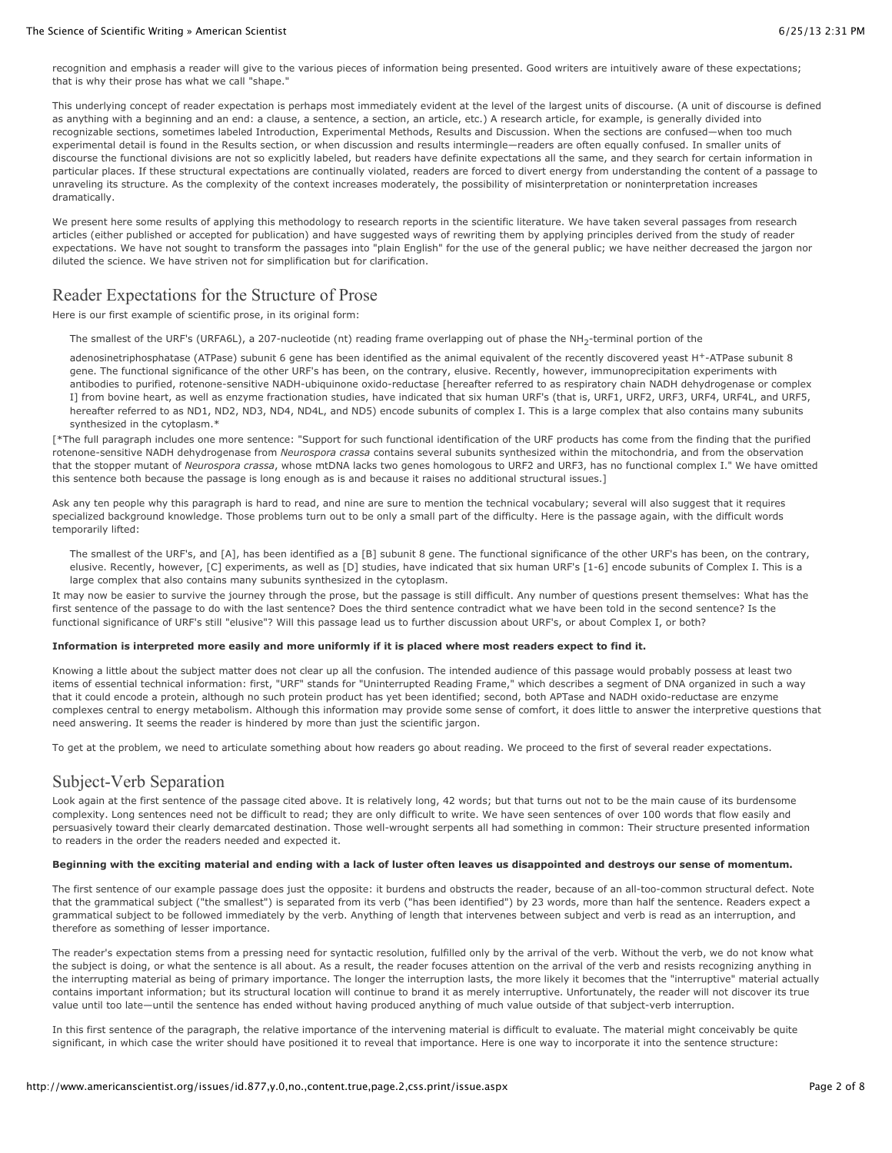recognition and emphasis a reader will give to the various pieces of information being presented. Good writers are intuitively aware of these expectations; that is why their prose has what we call "shape."

This underlying concept of reader expectation is perhaps most immediately evident at the level of the largest units of discourse. (A unit of discourse is defined as anything with a beginning and an end: a clause, a sentence, a section, an article, etc.) A research article, for example, is generally divided into recognizable sections, sometimes labeled Introduction, Experimental Methods, Results and Discussion. When the sections are confused—when too much experimental detail is found in the Results section, or when discussion and results intermingle—readers are often equally confused. In smaller units of discourse the functional divisions are not so explicitly labeled, but readers have definite expectations all the same, and they search for certain information in particular places. If these structural expectations are continually violated, readers are forced to divert energy from understanding the content of a passage to unraveling its structure. As the complexity of the context increases moderately, the possibility of misinterpretation or noninterpretation increases dramatically.

We present here some results of applying this methodology to research reports in the scientific literature. We have taken several passages from research articles (either published or accepted for publication) and have suggested ways of rewriting them by applying principles derived from the study of reader expectations. We have not sought to transform the passages into "plain English" for the use of the general public; we have neither decreased the jargon nor diluted the science. We have striven not for simplification but for clarification.

## Reader Expectations for the Structure of Prose

Here is our first example of scientific prose, in its original form:

The smallest of the URF's (URFA6L), a 207-nucleotide (nt) reading frame overlapping out of phase the NH<sub>2</sub>-terminal portion of the

adenosinetriphosphatase (ATPase) subunit 6 gene has been identified as the animal equivalent of the recently discovered yeast H<sup>+</sup>-ATPase subunit 8 gene. The functional significance of the other URF's has been, on the contrary, elusive. Recently, however, immunoprecipitation experiments with antibodies to purified, rotenone-sensitive NADH-ubiquinone oxido-reductase [hereafter referred to as respiratory chain NADH dehydrogenase or complex I] from bovine heart, as well as enzyme fractionation studies, have indicated that six human URF's (that is, URF1, URF2, URF3, URF4, URF4L, and URF5, hereafter referred to as ND1, ND2, ND3, ND4, ND4L, and ND5) encode subunits of complex I. This is a large complex that also contains many subunits synthesized in the cytoplasm.\*

[\*The full paragraph includes one more sentence: "Support for such functional identification of the URF products has come from the finding that the purified rotenone-sensitive NADH dehydrogenase from *Neurospora crassa* contains several subunits synthesized within the mitochondria, and from the observation that the stopper mutant of *Neurospora crassa*, whose mtDNA lacks two genes homologous to URF2 and URF3, has no functional complex I." We have omitted this sentence both because the passage is long enough as is and because it raises no additional structural issues.]

Ask any ten people why this paragraph is hard to read, and nine are sure to mention the technical vocabulary; several will also suggest that it requires specialized background knowledge. Those problems turn out to be only a small part of the difficulty. Here is the passage again, with the difficult words temporarily lifted:

The smallest of the URF's, and [A], has been identified as a [B] subunit 8 gene. The functional significance of the other URF's has been, on the contrary, elusive. Recently, however, [C] experiments, as well as [D] studies, have indicated that six human URF's [1-6] encode subunits of Complex I. This is a large complex that also contains many subunits synthesized in the cytoplasm.

It may now be easier to survive the journey through the prose, but the passage is still difficult. Any number of questions present themselves: What has the first sentence of the passage to do with the last sentence? Does the third sentence contradict what we have been told in the second sentence? Is the functional significance of URF's still "elusive"? Will this passage lead us to further discussion about URF's, or about Complex I, or both?

## **Information is interpreted more easily and more uniformly if it is placed where most readers expect to find it.**

Knowing a little about the subject matter does not clear up all the confusion. The intended audience of this passage would probably possess at least two items of essential technical information: first, "URF" stands for "Uninterrupted Reading Frame," which describes a segment of DNA organized in such a way that it could encode a protein, although no such protein product has yet been identified; second, both APTase and NADH oxido-reductase are enzyme complexes central to energy metabolism. Although this information may provide some sense of comfort, it does little to answer the interpretive questions that need answering. It seems the reader is hindered by more than just the scientific jargon.

To get at the problem, we need to articulate something about how readers go about reading. We proceed to the first of several reader expectations.

## Subject-Verb Separation

Look again at the first sentence of the passage cited above. It is relatively long, 42 words; but that turns out not to be the main cause of its burdensome complexity. Long sentences need not be difficult to read; they are only difficult to write. We have seen sentences of over 100 words that flow easily and persuasively toward their clearly demarcated destination. Those well-wrought serpents all had something in common: Their structure presented information to readers in the order the readers needed and expected it.

#### **Beginning with the exciting material and ending with a lack of luster often leaves us disappointed and destroys our sense of momentum.**

The first sentence of our example passage does just the opposite: it burdens and obstructs the reader, because of an all-too-common structural defect. Note that the grammatical subject ("the smallest") is separated from its verb ("has been identified") by 23 words, more than half the sentence. Readers expect a grammatical subject to be followed immediately by the verb. Anything of length that intervenes between subject and verb is read as an interruption, and therefore as something of lesser importance.

The reader's expectation stems from a pressing need for syntactic resolution, fulfilled only by the arrival of the verb. Without the verb, we do not know what the subject is doing, or what the sentence is all about. As a result, the reader focuses attention on the arrival of the verb and resists recognizing anything in the interrupting material as being of primary importance. The longer the interruption lasts, the more likely it becomes that the "interruptive" material actually contains important information; but its structural location will continue to brand it as merely interruptive. Unfortunately, the reader will not discover its true value until too late—until the sentence has ended without having produced anything of much value outside of that subject-verb interruption.

In this first sentence of the paragraph, the relative importance of the intervening material is difficult to evaluate. The material might conceivably be quite significant, in which case the writer should have positioned it to reveal that importance. Here is one way to incorporate it into the sentence structure: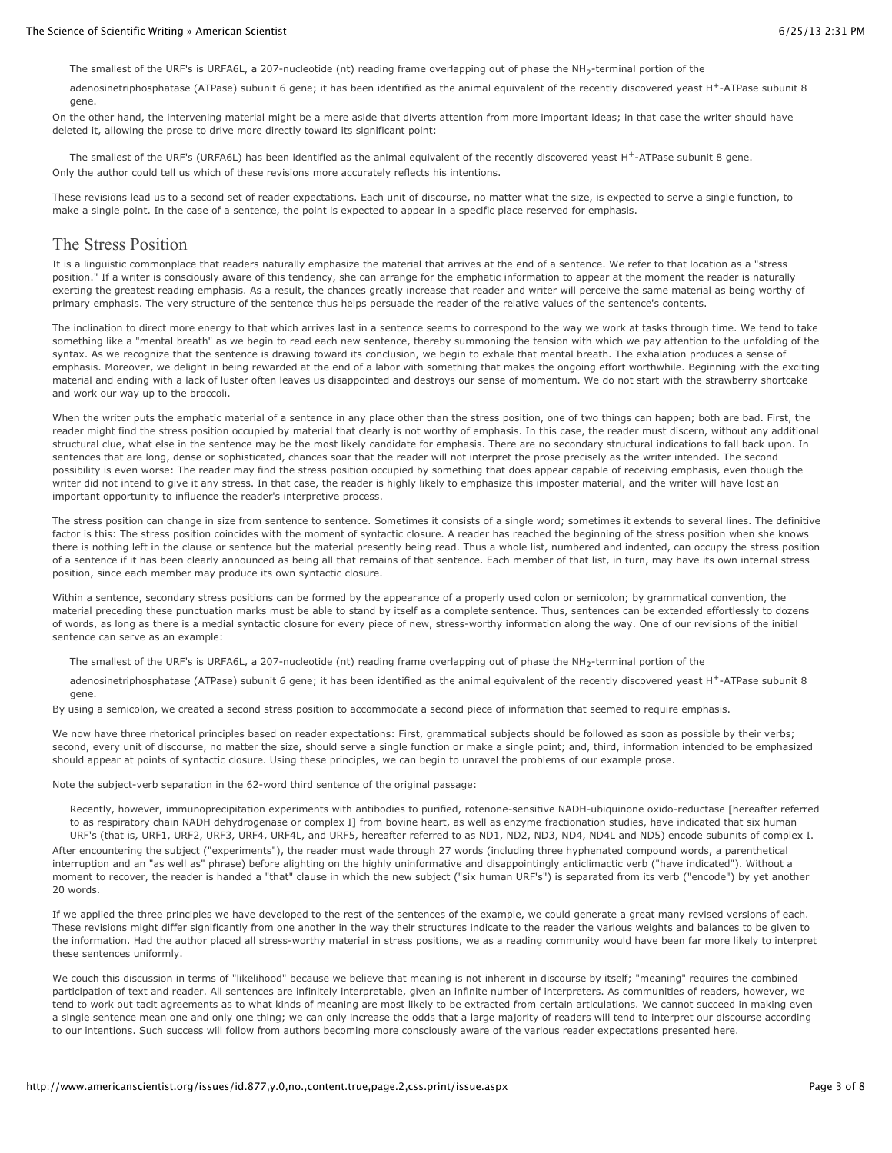The smallest of the URF's is URFA6L, a 207-nucleotide (nt) reading frame overlapping out of phase the NH<sub>2</sub>-terminal portion of the

adenosinetriphosphatase (ATPase) subunit 6 gene; it has been identified as the animal equivalent of the recently discovered yeast H<sup>+</sup>-ATPase subunit 8 gene.

On the other hand, the intervening material might be a mere aside that diverts attention from more important ideas; in that case the writer should have deleted it, allowing the prose to drive more directly toward its significant point:

The smallest of the URF's (URFA6L) has been identified as the animal equivalent of the recently discovered yeast H<sup>+</sup>-ATPase subunit 8 gene. Only the author could tell us which of these revisions more accurately reflects his intentions.

These revisions lead us to a second set of reader expectations. Each unit of discourse, no matter what the size, is expected to serve a single function, to make a single point. In the case of a sentence, the point is expected to appear in a specific place reserved for emphasis.

## The Stress Position

It is a linguistic commonplace that readers naturally emphasize the material that arrives at the end of a sentence. We refer to that location as a "stress position." If a writer is consciously aware of this tendency, she can arrange for the emphatic information to appear at the moment the reader is naturally exerting the greatest reading emphasis. As a result, the chances greatly increase that reader and writer will perceive the same material as being worthy of primary emphasis. The very structure of the sentence thus helps persuade the reader of the relative values of the sentence's contents.

The inclination to direct more energy to that which arrives last in a sentence seems to correspond to the way we work at tasks through time. We tend to take something like a "mental breath" as we begin to read each new sentence, thereby summoning the tension with which we pay attention to the unfolding of the syntax. As we recognize that the sentence is drawing toward its conclusion, we begin to exhale that mental breath. The exhalation produces a sense of emphasis. Moreover, we delight in being rewarded at the end of a labor with something that makes the ongoing effort worthwhile. Beginning with the exciting material and ending with a lack of luster often leaves us disappointed and destroys our sense of momentum. We do not start with the strawberry shortcake and work our way up to the broccoli.

When the writer puts the emphatic material of a sentence in any place other than the stress position, one of two things can happen; both are bad. First, the reader might find the stress position occupied by material that clearly is not worthy of emphasis. In this case, the reader must discern, without any additional structural clue, what else in the sentence may be the most likely candidate for emphasis. There are no secondary structural indications to fall back upon. In sentences that are long, dense or sophisticated, chances soar that the reader will not interpret the prose precisely as the writer intended. The second possibility is even worse: The reader may find the stress position occupied by something that does appear capable of receiving emphasis, even though the writer did not intend to give it any stress. In that case, the reader is highly likely to emphasize this imposter material, and the writer will have lost an important opportunity to influence the reader's interpretive process.

The stress position can change in size from sentence to sentence. Sometimes it consists of a single word; sometimes it extends to several lines. The definitive factor is this: The stress position coincides with the moment of syntactic closure. A reader has reached the beginning of the stress position when she knows there is nothing left in the clause or sentence but the material presently being read. Thus a whole list, numbered and indented, can occupy the stress position of a sentence if it has been clearly announced as being all that remains of that sentence. Each member of that list, in turn, may have its own internal stress position, since each member may produce its own syntactic closure.

Within a sentence, secondary stress positions can be formed by the appearance of a properly used colon or semicolon; by grammatical convention, the material preceding these punctuation marks must be able to stand by itself as a complete sentence. Thus, sentences can be extended effortlessly to dozens of words, as long as there is a medial syntactic closure for every piece of new, stress-worthy information along the way. One of our revisions of the initial sentence can serve as an example:

The smallest of the URF's is URFA6L, a 207-nucleotide (nt) reading frame overlapping out of phase the NH<sub>2</sub>-terminal portion of the

adenosinetriphosphatase (ATPase) subunit 6 gene; it has been identified as the animal equivalent of the recently discovered yeast H<sup>+</sup>-ATPase subunit 8 gene.

By using a semicolon, we created a second stress position to accommodate a second piece of information that seemed to require emphasis.

We now have three rhetorical principles based on reader expectations: First, grammatical subjects should be followed as soon as possible by their verbs; second, every unit of discourse, no matter the size, should serve a single function or make a single point; and, third, information intended to be emphasized should appear at points of syntactic closure. Using these principles, we can begin to unravel the problems of our example prose.

Note the subject-verb separation in the 62-word third sentence of the original passage:

Recently, however, immunoprecipitation experiments with antibodies to purified, rotenone-sensitive NADH-ubiquinone oxido-reductase [hereafter referred to as respiratory chain NADH dehydrogenase or complex I] from bovine heart, as well as enzyme fractionation studies, have indicated that six human URF's (that is, URF1, URF2, URF3, URF4, URF4L, and URF5, hereafter referred to as ND1, ND2, ND3, ND4, ND4L and ND5) encode subunits of complex I.

After encountering the subject ("experiments"), the reader must wade through 27 words (including three hyphenated compound words, a parenthetical interruption and an "as well as" phrase) before alighting on the highly uninformative and disappointingly anticlimactic verb ("have indicated"). Without a moment to recover, the reader is handed a "that" clause in which the new subject ("six human URF's") is separated from its verb ("encode") by yet another 20 words.

If we applied the three principles we have developed to the rest of the sentences of the example, we could generate a great many revised versions of each. These revisions might differ significantly from one another in the way their structures indicate to the reader the various weights and balances to be given to the information. Had the author placed all stress-worthy material in stress positions, we as a reading community would have been far more likely to interpret these sentences uniformly.

We couch this discussion in terms of "likelihood" because we believe that meaning is not inherent in discourse by itself; "meaning" requires the combined participation of text and reader. All sentences are infinitely interpretable, given an infinite number of interpreters. As communities of readers, however, we tend to work out tacit agreements as to what kinds of meaning are most likely to be extracted from certain articulations. We cannot succeed in making even a single sentence mean one and only one thing; we can only increase the odds that a large majority of readers will tend to interpret our discourse according to our intentions. Such success will follow from authors becoming more consciously aware of the various reader expectations presented here.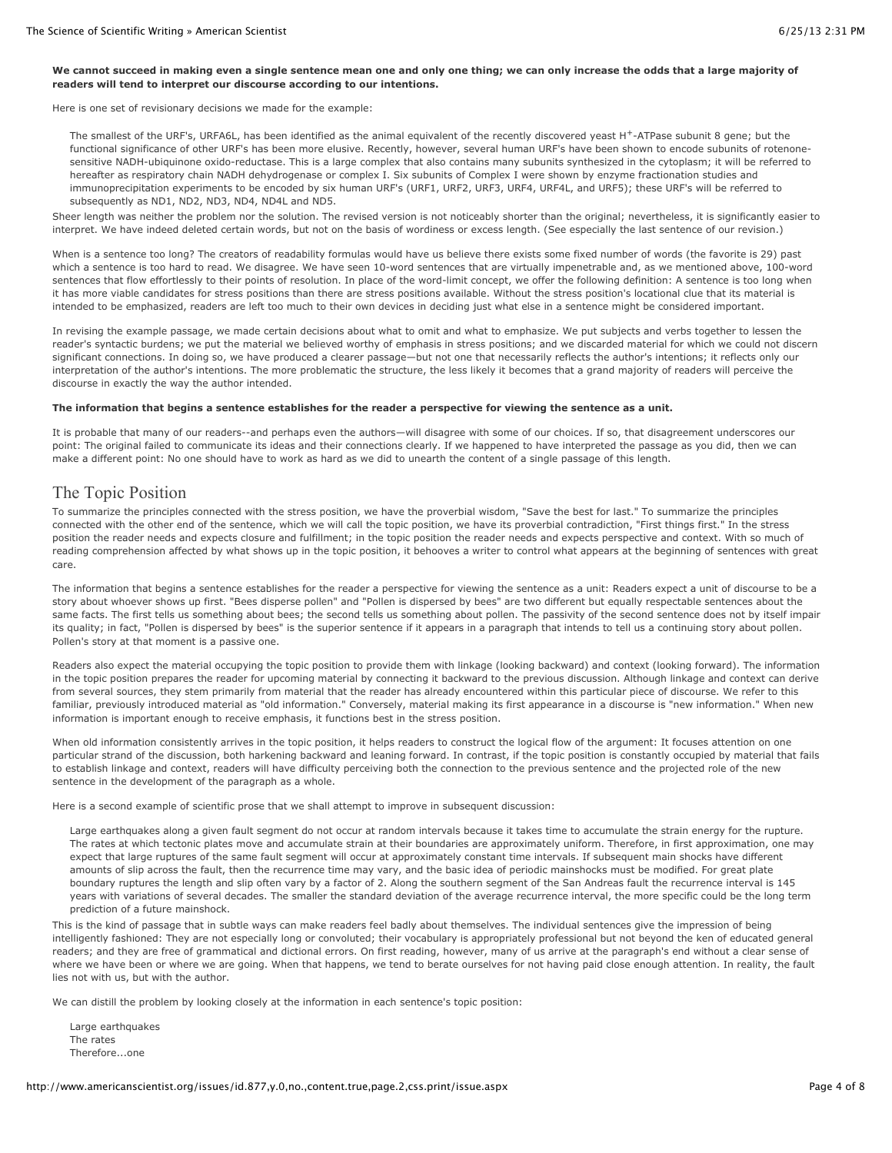### **We cannot succeed in making even a single sentence mean one and only one thing; we can only increase the odds that a large majority of readers will tend to interpret our discourse according to our intentions.**

Here is one set of revisionary decisions we made for the example:

The smallest of the URF's, URFA6L, has been identified as the animal equivalent of the recently discovered yeast H+-ATPase subunit 8 gene; but the functional significance of other URF's has been more elusive. Recently, however, several human URF's have been shown to encode subunits of rotenonesensitive NADH-ubiquinone oxido-reductase. This is a large complex that also contains many subunits synthesized in the cytoplasm; it will be referred to hereafter as respiratory chain NADH dehydrogenase or complex I. Six subunits of Complex I were shown by enzyme fractionation studies and immunoprecipitation experiments to be encoded by six human URF's (URF1, URF2, URF3, URF4, URF4L, and URF5); these URF's will be referred to subsequently as ND1, ND2, ND3, ND4, ND4L and ND5.

Sheer length was neither the problem nor the solution. The revised version is not noticeably shorter than the original; nevertheless, it is significantly easier to interpret. We have indeed deleted certain words, but not on the basis of wordiness or excess length. (See especially the last sentence of our revision.)

When is a sentence too long? The creators of readability formulas would have us believe there exists some fixed number of words (the favorite is 29) past which a sentence is too hard to read. We disagree. We have seen 10-word sentences that are virtually impenetrable and, as we mentioned above, 100-word sentences that flow effortlessly to their points of resolution. In place of the word-limit concept, we offer the following definition: A sentence is too long when it has more viable candidates for stress positions than there are stress positions available. Without the stress position's locational clue that its material is intended to be emphasized, readers are left too much to their own devices in deciding just what else in a sentence might be considered important.

In revising the example passage, we made certain decisions about what to omit and what to emphasize. We put subjects and verbs together to lessen the reader's syntactic burdens; we put the material we believed worthy of emphasis in stress positions; and we discarded material for which we could not discern significant connections. In doing so, we have produced a clearer passage—but not one that necessarily reflects the author's intentions; it reflects only our interpretation of the author's intentions. The more problematic the structure, the less likely it becomes that a grand majority of readers will perceive the discourse in exactly the way the author intended.

#### **The information that begins a sentence establishes for the reader a perspective for viewing the sentence as a unit.**

It is probable that many of our readers--and perhaps even the authors—will disagree with some of our choices. If so, that disagreement underscores our point: The original failed to communicate its ideas and their connections clearly. If we happened to have interpreted the passage as you did, then we can make a different point: No one should have to work as hard as we did to unearth the content of a single passage of this length.

# The Topic Position

To summarize the principles connected with the stress position, we have the proverbial wisdom, "Save the best for last." To summarize the principles connected with the other end of the sentence, which we will call the topic position, we have its proverbial contradiction, "First things first." In the stress position the reader needs and expects closure and fulfillment; in the topic position the reader needs and expects perspective and context. With so much of reading comprehension affected by what shows up in the topic position, it behooves a writer to control what appears at the beginning of sentences with great care.

The information that begins a sentence establishes for the reader a perspective for viewing the sentence as a unit: Readers expect a unit of discourse to be a story about whoever shows up first. "Bees disperse pollen" and "Pollen is dispersed by bees" are two different but equally respectable sentences about the same facts. The first tells us something about bees; the second tells us something about pollen. The passivity of the second sentence does not by itself impair its quality; in fact, "Pollen is dispersed by bees" is the superior sentence if it appears in a paragraph that intends to tell us a continuing story about pollen. Pollen's story at that moment is a passive one.

Readers also expect the material occupying the topic position to provide them with linkage (looking backward) and context (looking forward). The information in the topic position prepares the reader for upcoming material by connecting it backward to the previous discussion. Although linkage and context can derive from several sources, they stem primarily from material that the reader has already encountered within this particular piece of discourse. We refer to this familiar, previously introduced material as "old information." Conversely, material making its first appearance in a discourse is "new information." When new information is important enough to receive emphasis, it functions best in the stress position.

When old information consistently arrives in the topic position, it helps readers to construct the logical flow of the argument: It focuses attention on one particular strand of the discussion, both harkening backward and leaning forward. In contrast, if the topic position is constantly occupied by material that fails to establish linkage and context, readers will have difficulty perceiving both the connection to the previous sentence and the projected role of the new sentence in the development of the paragraph as a whole.

Here is a second example of scientific prose that we shall attempt to improve in subsequent discussion:

Large earthquakes along a given fault segment do not occur at random intervals because it takes time to accumulate the strain energy for the rupture. The rates at which tectonic plates move and accumulate strain at their boundaries are approximately uniform. Therefore, in first approximation, one may expect that large ruptures of the same fault segment will occur at approximately constant time intervals. If subsequent main shocks have different amounts of slip across the fault, then the recurrence time may vary, and the basic idea of periodic mainshocks must be modified. For great plate boundary ruptures the length and slip often vary by a factor of 2. Along the southern segment of the San Andreas fault the recurrence interval is 145 years with variations of several decades. The smaller the standard deviation of the average recurrence interval, the more specific could be the long term prediction of a future mainshock.

This is the kind of passage that in subtle ways can make readers feel badly about themselves. The individual sentences give the impression of being intelligently fashioned: They are not especially long or convoluted; their vocabulary is appropriately professional but not beyond the ken of educated general readers; and they are free of grammatical and dictional errors. On first reading, however, many of us arrive at the paragraph's end without a clear sense of where we have been or where we are going. When that happens, we tend to berate ourselves for not having paid close enough attention. In reality, the fault lies not with us, but with the author.

We can distill the problem by looking closely at the information in each sentence's topic position:

Large earthquakes The rates Therefore...one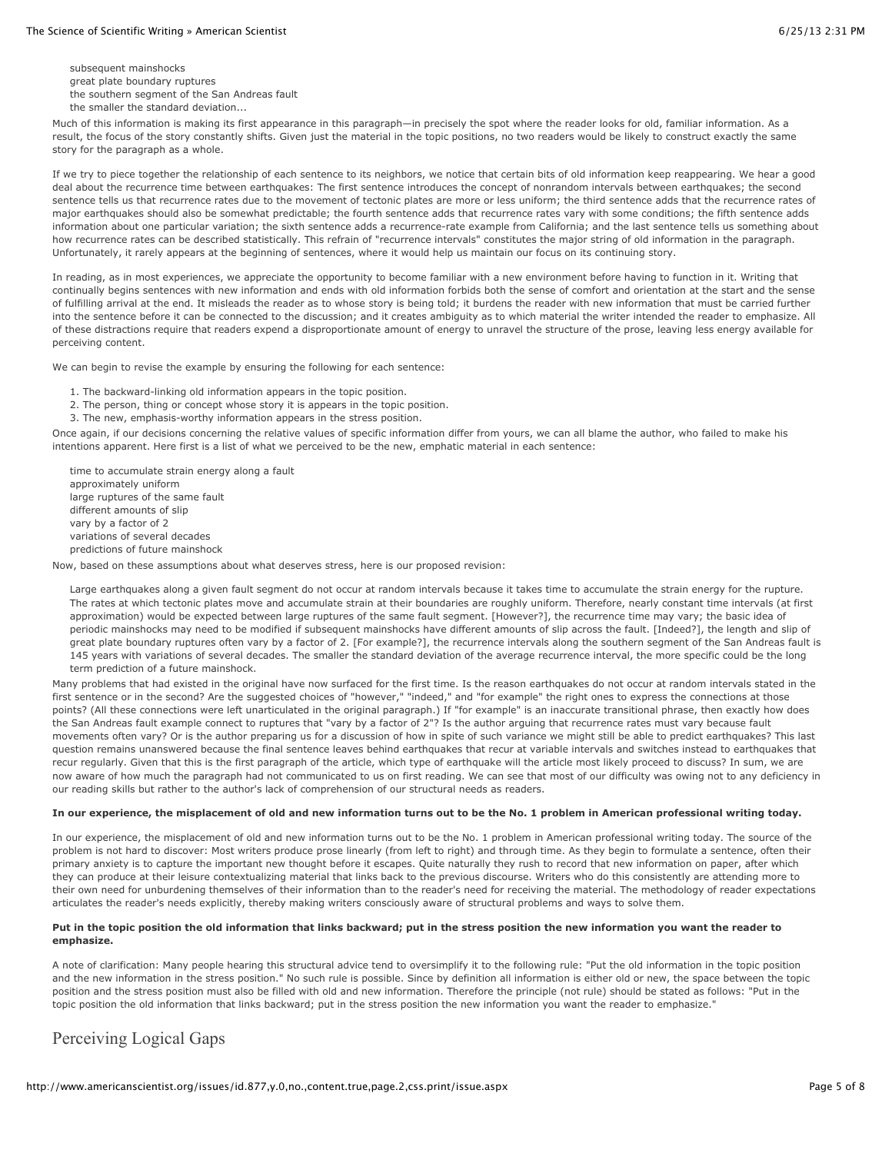subsequent mainshocks great plate boundary ruptures the southern segment of the San Andreas fault the smaller the standard deviation...

Much of this information is making its first appearance in this paragraph—in precisely the spot where the reader looks for old, familiar information. As a result, the focus of the story constantly shifts. Given just the material in the topic positions, no two readers would be likely to construct exactly the same story for the paragraph as a whole.

If we try to piece together the relationship of each sentence to its neighbors, we notice that certain bits of old information keep reappearing. We hear a good deal about the recurrence time between earthquakes: The first sentence introduces the concept of nonrandom intervals between earthquakes; the second sentence tells us that recurrence rates due to the movement of tectonic plates are more or less uniform; the third sentence adds that the recurrence rates of major earthquakes should also be somewhat predictable; the fourth sentence adds that recurrence rates vary with some conditions; the fifth sentence adds information about one particular variation; the sixth sentence adds a recurrence-rate example from California; and the last sentence tells us something about how recurrence rates can be described statistically. This refrain of "recurrence intervals" constitutes the major string of old information in the paragraph. Unfortunately, it rarely appears at the beginning of sentences, where it would help us maintain our focus on its continuing story.

In reading, as in most experiences, we appreciate the opportunity to become familiar with a new environment before having to function in it. Writing that continually begins sentences with new information and ends with old information forbids both the sense of comfort and orientation at the start and the sense of fulfilling arrival at the end. It misleads the reader as to whose story is being told; it burdens the reader with new information that must be carried further into the sentence before it can be connected to the discussion; and it creates ambiguity as to which material the writer intended the reader to emphasize. All of these distractions require that readers expend a disproportionate amount of energy to unravel the structure of the prose, leaving less energy available for perceiving content.

We can begin to revise the example by ensuring the following for each sentence:

- 1. The backward-linking old information appears in the topic position.
- 2. The person, thing or concept whose story it is appears in the topic position.
- 3. The new, emphasis-worthy information appears in the stress position.

Once again, if our decisions concerning the relative values of specific information differ from yours, we can all blame the author, who failed to make his intentions apparent. Here first is a list of what we perceived to be the new, emphatic material in each sentence:

time to accumulate strain energy along a fault approximately uniform large ruptures of the same fault different amounts of slip vary by a factor of 2 variations of several decades predictions of future mainshock

Now, based on these assumptions about what deserves stress, here is our proposed revision:

Large earthquakes along a given fault segment do not occur at random intervals because it takes time to accumulate the strain energy for the rupture. The rates at which tectonic plates move and accumulate strain at their boundaries are roughly uniform. Therefore, nearly constant time intervals (at first approximation) would be expected between large ruptures of the same fault segment. [However?], the recurrence time may vary; the basic idea of periodic mainshocks may need to be modified if subsequent mainshocks have different amounts of slip across the fault. [Indeed?], the length and slip of great plate boundary ruptures often vary by a factor of 2. [For example?], the recurrence intervals along the southern segment of the San Andreas fault is 145 years with variations of several decades. The smaller the standard deviation of the average recurrence interval, the more specific could be the long term prediction of a future mainshock.

Many problems that had existed in the original have now surfaced for the first time. Is the reason earthquakes do not occur at random intervals stated in the first sentence or in the second? Are the suggested choices of "however," "indeed," and "for example" the right ones to express the connections at those points? (All these connections were left unarticulated in the original paragraph.) If "for example" is an inaccurate transitional phrase, then exactly how does the San Andreas fault example connect to ruptures that "vary by a factor of 2"? Is the author arguing that recurrence rates must vary because fault movements often vary? Or is the author preparing us for a discussion of how in spite of such variance we might still be able to predict earthquakes? This last question remains unanswered because the final sentence leaves behind earthquakes that recur at variable intervals and switches instead to earthquakes that recur regularly. Given that this is the first paragraph of the article, which type of earthquake will the article most likely proceed to discuss? In sum, we are now aware of how much the paragraph had not communicated to us on first reading. We can see that most of our difficulty was owing not to any deficiency in our reading skills but rather to the author's lack of comprehension of our structural needs as readers.

#### **In our experience, the misplacement of old and new information turns out to be the No. 1 problem in American professional writing today.**

In our experience, the misplacement of old and new information turns out to be the No. 1 problem in American professional writing today. The source of the problem is not hard to discover: Most writers produce prose linearly (from left to right) and through time. As they begin to formulate a sentence, often their primary anxiety is to capture the important new thought before it escapes. Quite naturally they rush to record that new information on paper, after which they can produce at their leisure contextualizing material that links back to the previous discourse. Writers who do this consistently are attending more to their own need for unburdening themselves of their information than to the reader's need for receiving the material. The methodology of reader expectations articulates the reader's needs explicitly, thereby making writers consciously aware of structural problems and ways to solve them.

#### **Put in the topic position the old information that links backward; put in the stress position the new information you want the reader to emphasize.**

A note of clarification: Many people hearing this structural advice tend to oversimplify it to the following rule: "Put the old information in the topic position and the new information in the stress position." No such rule is possible. Since by definition all information is either old or new, the space between the topic position and the stress position must also be filled with old and new information. Therefore the principle (not rule) should be stated as follows: "Put in the topic position the old information that links backward; put in the stress position the new information you want the reader to emphasize."

# Perceiving Logical Gaps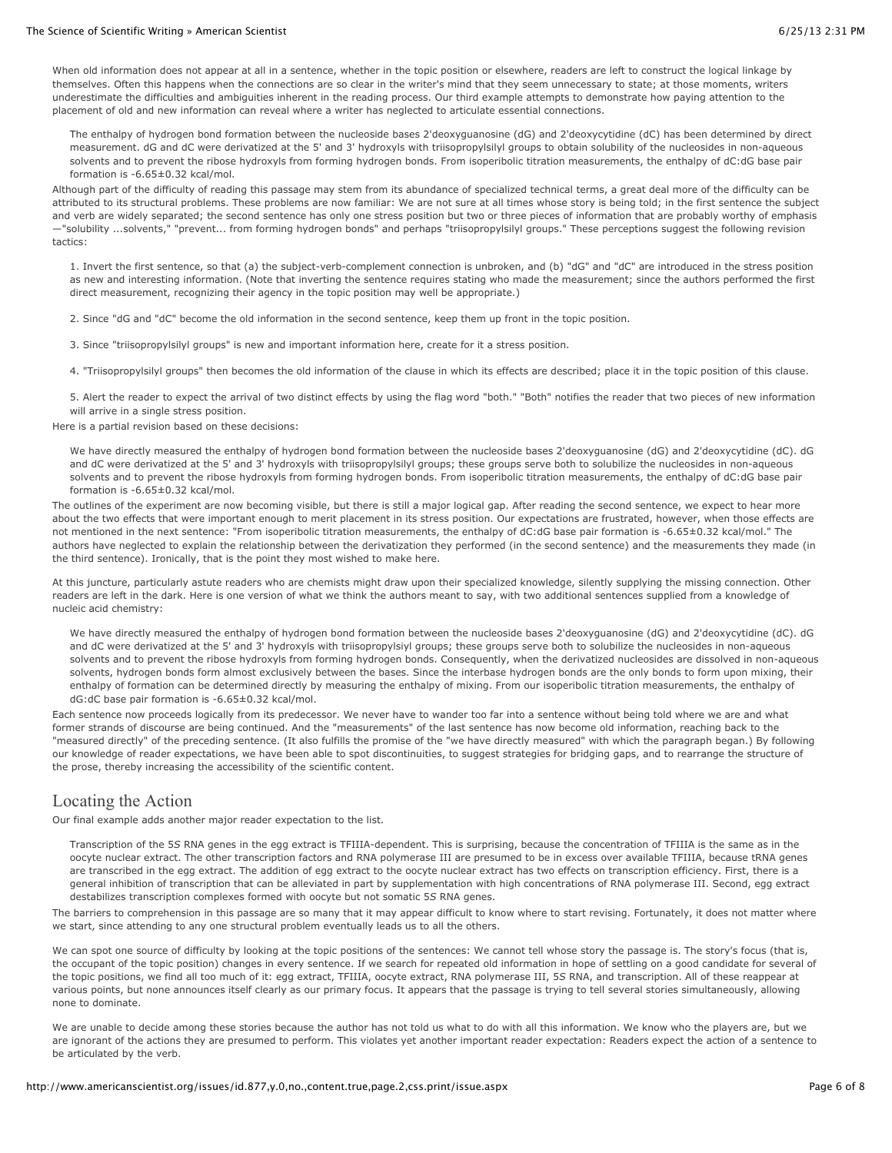When old information does not appear at all in a sentence, whether in the topic position or elsewhere, readers are left to construct the logical linkage by themselves. Often this happens when the connections are so clear in the writer's mind that they seem unnecessary to state; at those moments, writers underestimate the difficulties and ambiguities inherent in the reading process. Our third example attempts to demonstrate how paying attention to the placement of old and new information can reveal where a writer has neglected to articulate essential connections.

The enthalpy of hydrogen bond formation between the nucleoside bases 2'deoxyguanosine (dG) and 2'deoxycytidine (dC) has been determined by direct measurement. dG and dC were derivatized at the 5' and 3' hydroxyls with triisopropylsilyl groups to obtain solubility of the nucleosides in non-aqueous solvents and to prevent the ribose hydroxyls from forming hydrogen bonds. From isoperibolic titration measurements, the enthalpy of dC:dG base pair formation is -6.65±0.32 kcal/mol.

Although part of the difficulty of reading this passage may stem from its abundance of specialized technical terms, a great deal more of the difficulty can be attributed to its structural problems. These problems are now familiar: We are not sure at all times whose story is being told; in the first sentence the subject and verb are widely separated; the second sentence has only one stress position but two or three pieces of information that are probably worthy of emphasis —"solubility ...solvents," "prevent... from forming hydrogen bonds" and perhaps "triisopropylsilyl groups." These perceptions suggest the following revision tactics:

1. Invert the first sentence, so that (a) the subject-verb-complement connection is unbroken, and (b) "dG" and "dC" are introduced in the stress position as new and interesting information. (Note that inverting the sentence requires stating who made the measurement; since the authors performed the first direct measurement, recognizing their agency in the topic position may well be appropriate.)

2. Since "dG and "dC" become the old information in the second sentence, keep them up front in the topic position.

3. Since "triisopropylsilyl groups" is new and important information here, create for it a stress position.

4. "Triisopropylsilyl groups" then becomes the old information of the clause in which its effects are described; place it in the topic position of this clause.

5. Alert the reader to expect the arrival of two distinct effects by using the flag word "both." "Both" notifies the reader that two pieces of new information will arrive in a single stress position.

Here is a partial revision based on these decisions:

We have directly measured the enthalpy of hydrogen bond formation between the nucleoside bases 2'deoxyguanosine (dG) and 2'deoxycytidine (dC). dG and dC were derivatized at the 5' and 3' hydroxyls with triisopropylsilyl groups; these groups serve both to solubilize the nucleosides in non-aqueous solvents and to prevent the ribose hydroxyls from forming hydrogen bonds. From isoperibolic titration measurements, the enthalpy of dC:dG base pair formation is -6.65±0.32 kcal/mol.

The outlines of the experiment are now becoming visible, but there is still a major logical gap. After reading the second sentence, we expect to hear more about the two effects that were important enough to merit placement in its stress position. Our expectations are frustrated, however, when those effects are not mentioned in the next sentence: "From isoperibolic titration measurements, the enthalpy of dC:dG base pair formation is -6.65±0.32 kcal/mol." The authors have neglected to explain the relationship between the derivatization they performed (in the second sentence) and the measurements they made (in the third sentence). Ironically, that is the point they most wished to make here.

At this juncture, particularly astute readers who are chemists might draw upon their specialized knowledge, silently supplying the missing connection. Other readers are left in the dark. Here is one version of what we think the authors meant to say, with two additional sentences supplied from a knowledge of nucleic acid chemistry:

We have directly measured the enthalpy of hydrogen bond formation between the nucleoside bases 2'deoxyguanosine (dG) and 2'deoxycytidine (dC). dG and dC were derivatized at the 5' and 3' hydroxyls with triisopropylsiyl groups; these groups serve both to solubilize the nucleosides in non-aqueous solvents and to prevent the ribose hydroxyls from forming hydrogen bonds. Consequently, when the derivatized nucleosides are dissolved in non-aqueous solvents, hydrogen bonds form almost exclusively between the bases. Since the interbase hydrogen bonds are the only bonds to form upon mixing, their enthalpy of formation can be determined directly by measuring the enthalpy of mixing. From our isoperibolic titration measurements, the enthalpy of dG:dC base pair formation is -6.65±0.32 kcal/mol.

Each sentence now proceeds logically from its predecessor. We never have to wander too far into a sentence without being told where we are and what former strands of discourse are being continued. And the "measurements" of the last sentence has now become old information, reaching back to the "measured directly" of the preceding sentence. (It also fulfills the promise of the "we have directly measured" with which the paragraph began.) By following our knowledge of reader expectations, we have been able to spot discontinuities, to suggest strategies for bridging gaps, and to rearrange the structure of the prose, thereby increasing the accessibility of the scientific content.

## Locating the Action

Our final example adds another major reader expectation to the list.

Transcription of the 5*S* RNA genes in the egg extract is TFIIIA-dependent. This is surprising, because the concentration of TFIIIA is the same as in the oocyte nuclear extract. The other transcription factors and RNA polymerase III are presumed to be in excess over available TFIIIA, because tRNA genes are transcribed in the egg extract. The addition of egg extract to the oocyte nuclear extract has two effects on transcription efficiency. First, there is a general inhibition of transcription that can be alleviated in part by supplementation with high concentrations of RNA polymerase III. Second, egg extract destabilizes transcription complexes formed with oocyte but not somatic 5*S* RNA genes.

The barriers to comprehension in this passage are so many that it may appear difficult to know where to start revising. Fortunately, it does not matter where we start, since attending to any one structural problem eventually leads us to all the others.

We can spot one source of difficulty by looking at the topic positions of the sentences: We cannot tell whose story the passage is. The story's focus (that is, the occupant of the topic position) changes in every sentence. If we search for repeated old information in hope of settling on a good candidate for several of the topic positions, we find all too much of it: egg extract, TFIIIA, oocyte extract, RNA polymerase III, 5*S* RNA, and transcription. All of these reappear at various points, but none announces itself clearly as our primary focus. It appears that the passage is trying to tell several stories simultaneously, allowing none to dominate.

We are unable to decide among these stories because the author has not told us what to do with all this information. We know who the players are, but we are ignorant of the actions they are presumed to perform. This violates yet another important reader expectation: Readers expect the action of a sentence to be articulated by the verb.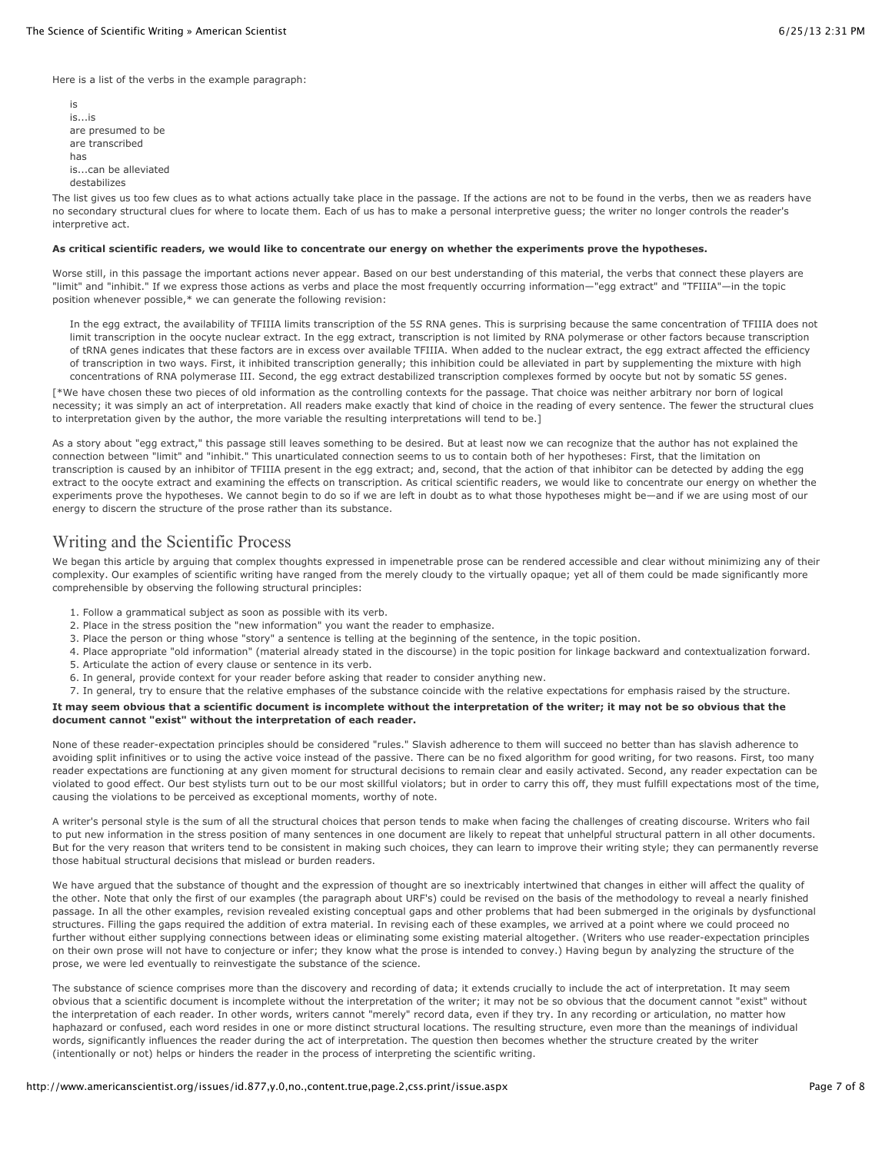Here is a list of the verbs in the example paragraph:

is is...is are presumed to be are transcribed has is...can be alleviated destabilizes

The list gives us too few clues as to what actions actually take place in the passage. If the actions are not to be found in the verbs, then we as readers have no secondary structural clues for where to locate them. Each of us has to make a personal interpretive guess; the writer no longer controls the reader's interpretive act.

#### **As critical scientific readers, we would like to concentrate our energy on whether the experiments prove the hypotheses.**

Worse still, in this passage the important actions never appear. Based on our best understanding of this material, the verbs that connect these players are "limit" and "inhibit." If we express those actions as verbs and place the most frequently occurring information—"egg extract" and "TFIIIA"—in the topic position whenever possible,\* we can generate the following revision:

In the egg extract, the availability of TFIIIA limits transcription of the 5*S* RNA genes. This is surprising because the same concentration of TFIIIA does not limit transcription in the oocyte nuclear extract. In the egg extract, transcription is not limited by RNA polymerase or other factors because transcription of tRNA genes indicates that these factors are in excess over available TFIIIA. When added to the nuclear extract, the egg extract affected the efficiency of transcription in two ways. First, it inhibited transcription generally; this inhibition could be alleviated in part by supplementing the mixture with high concentrations of RNA polymerase III. Second, the egg extract destabilized transcription complexes formed by oocyte but not by somatic 5*S* genes.

[\*We have chosen these two pieces of old information as the controlling contexts for the passage. That choice was neither arbitrary nor born of logical necessity; it was simply an act of interpretation. All readers make exactly that kind of choice in the reading of every sentence. The fewer the structural clues to interpretation given by the author, the more variable the resulting interpretations will tend to be.]

As a story about "egg extract," this passage still leaves something to be desired. But at least now we can recognize that the author has not explained the connection between "limit" and "inhibit." This unarticulated connection seems to us to contain both of her hypotheses: First, that the limitation on transcription is caused by an inhibitor of TFIIIA present in the egg extract; and, second, that the action of that inhibitor can be detected by adding the egg extract to the oocyte extract and examining the effects on transcription. As critical scientific readers, we would like to concentrate our energy on whether the experiments prove the hypotheses. We cannot begin to do so if we are left in doubt as to what those hypotheses might be—and if we are using most of our energy to discern the structure of the prose rather than its substance.

## Writing and the Scientific Process

We began this article by arguing that complex thoughts expressed in impenetrable prose can be rendered accessible and clear without minimizing any of their complexity. Our examples of scientific writing have ranged from the merely cloudy to the virtually opaque; yet all of them could be made significantly more comprehensible by observing the following structural principles:

- 1. Follow a grammatical subject as soon as possible with its verb.
- 2. Place in the stress position the "new information" you want the reader to emphasize.
- 3. Place the person or thing whose "story" a sentence is telling at the beginning of the sentence, in the topic position.
- 4. Place appropriate "old information" (material already stated in the discourse) in the topic position for linkage backward and contextualization forward.
- 5. Articulate the action of every clause or sentence in its verb.
- 6. In general, provide context for your reader before asking that reader to consider anything new.
- 7. In general, try to ensure that the relative emphases of the substance coincide with the relative expectations for emphasis raised by the structure.

#### **It may seem obvious that a scientific document is incomplete without the interpretation of the writer; it may not be so obvious that the document cannot "exist" without the interpretation of each reader.**

None of these reader-expectation principles should be considered "rules." Slavish adherence to them will succeed no better than has slavish adherence to avoiding split infinitives or to using the active voice instead of the passive. There can be no fixed algorithm for good writing, for two reasons. First, too many reader expectations are functioning at any given moment for structural decisions to remain clear and easily activated. Second, any reader expectation can be violated to good effect. Our best stylists turn out to be our most skillful violators; but in order to carry this off, they must fulfill expectations most of the time, causing the violations to be perceived as exceptional moments, worthy of note.

A writer's personal style is the sum of all the structural choices that person tends to make when facing the challenges of creating discourse. Writers who fail to put new information in the stress position of many sentences in one document are likely to repeat that unhelpful structural pattern in all other documents. But for the very reason that writers tend to be consistent in making such choices, they can learn to improve their writing style; they can permanently reverse those habitual structural decisions that mislead or burden readers.

We have argued that the substance of thought and the expression of thought are so inextricably intertwined that changes in either will affect the quality of the other. Note that only the first of our examples (the paragraph about URF's) could be revised on the basis of the methodology to reveal a nearly finished passage. In all the other examples, revision revealed existing conceptual gaps and other problems that had been submerged in the originals by dysfunctional structures. Filling the gaps required the addition of extra material. In revising each of these examples, we arrived at a point where we could proceed no further without either supplying connections between ideas or eliminating some existing material altogether. (Writers who use reader-expectation principles on their own prose will not have to conjecture or infer; they know what the prose is intended to convey.) Having begun by analyzing the structure of the prose, we were led eventually to reinvestigate the substance of the science.

The substance of science comprises more than the discovery and recording of data; it extends crucially to include the act of interpretation. It may seem obvious that a scientific document is incomplete without the interpretation of the writer; it may not be so obvious that the document cannot "exist" without the interpretation of each reader. In other words, writers cannot "merely" record data, even if they try. In any recording or articulation, no matter how haphazard or confused, each word resides in one or more distinct structural locations. The resulting structure, even more than the meanings of individual words, significantly influences the reader during the act of interpretation. The question then becomes whether the structure created by the writer (intentionally or not) helps or hinders the reader in the process of interpreting the scientific writing.